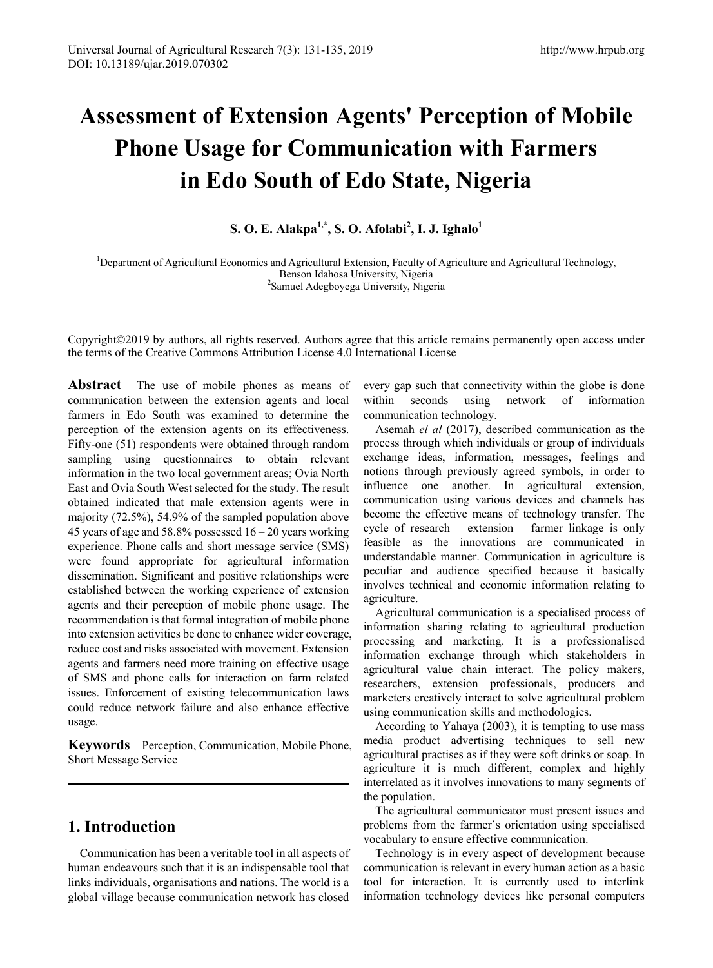# **Assessment of Extension Agents' Perception of Mobile Phone Usage for Communication with Farmers in Edo South of Edo State, Nigeria**

## **S. O. E. Alakpa1,\*, S. O. Afolabi<sup>2</sup> , I. J. Ighalo1**

<sup>1</sup>Department of Agricultural Economics and Agricultural Extension, Faculty of Agriculture and Agricultural Technology, Benson Idahosa University, Nigeria <sup>2</sup> Samuel Adegboyega University, Nigeria

Copyright©2019 by authors, all rights reserved. Authors agree that this article remains permanently open access under the terms of the Creative Commons Attribution License 4.0 International License

**Abstract** The use of mobile phones as means of communication between the extension agents and local farmers in Edo South was examined to determine the perception of the extension agents on its effectiveness. Fifty-one (51) respondents were obtained through random sampling using questionnaires to obtain relevant information in the two local government areas; Ovia North East and Ovia South West selected for the study. The result obtained indicated that male extension agents were in majority (72.5%), 54.9% of the sampled population above 45 years of age and 58.8% possessed 16 – 20 years working experience. Phone calls and short message service (SMS) were found appropriate for agricultural information dissemination. Significant and positive relationships were established between the working experience of extension agents and their perception of mobile phone usage. The recommendation is that formal integration of mobile phone into extension activities be done to enhance wider coverage, reduce cost and risks associated with movement. Extension agents and farmers need more training on effective usage of SMS and phone calls for interaction on farm related issues. Enforcement of existing telecommunication laws could reduce network failure and also enhance effective usage.

**Keywords** Perception, Communication, Mobile Phone, Short Message Service

## **1. Introduction**

Communication has been a veritable tool in all aspects of human endeavours such that it is an indispensable tool that links individuals, organisations and nations. The world is a global village because communication network has closed

every gap such that connectivity within the globe is done within seconds using network of information communication technology.

Asemah *el al* (2017), described communication as the process through which individuals or group of individuals exchange ideas, information, messages, feelings and notions through previously agreed symbols, in order to influence one another. In agricultural extension, communication using various devices and channels has become the effective means of technology transfer. The cycle of research – extension – farmer linkage is only feasible as the innovations are communicated in understandable manner. Communication in agriculture is peculiar and audience specified because it basically involves technical and economic information relating to agriculture.

Agricultural communication is a specialised process of information sharing relating to agricultural production processing and marketing. It is a professionalised information exchange through which stakeholders in agricultural value chain interact. The policy makers, researchers, extension professionals, producers and marketers creatively interact to solve agricultural problem using communication skills and methodologies.

According to Yahaya (2003), it is tempting to use mass media product advertising techniques to sell new agricultural practises as if they were soft drinks or soap. In agriculture it is much different, complex and highly interrelated as it involves innovations to many segments of the population.

The agricultural communicator must present issues and problems from the farmer's orientation using specialised vocabulary to ensure effective communication.

Technology is in every aspect of development because communication is relevant in every human action as a basic tool for interaction. It is currently used to interlink information technology devices like personal computers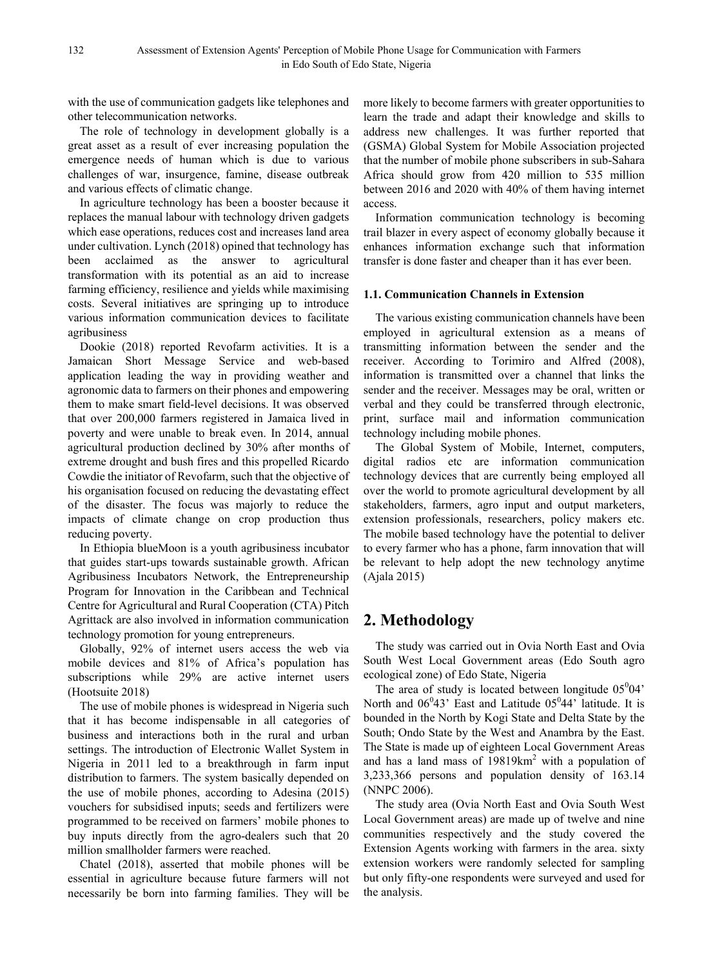with the use of communication gadgets like telephones and other telecommunication networks.

The role of technology in development globally is a great asset as a result of ever increasing population the emergence needs of human which is due to various challenges of war, insurgence, famine, disease outbreak and various effects of climatic change.

In agriculture technology has been a booster because it replaces the manual labour with technology driven gadgets which ease operations, reduces cost and increases land area under cultivation. Lynch (2018) opined that technology has been acclaimed as the answer to agricultural transformation with its potential as an aid to increase farming efficiency, resilience and yields while maximising costs. Several initiatives are springing up to introduce various information communication devices to facilitate agribusiness

Dookie (2018) reported Revofarm activities. It is a Jamaican Short Message Service and web-based application leading the way in providing weather and agronomic data to farmers on their phones and empowering them to make smart field-level decisions. It was observed that over 200,000 farmers registered in Jamaica lived in poverty and were unable to break even. In 2014, annual agricultural production declined by 30% after months of extreme drought and bush fires and this propelled Ricardo Cowdie the initiator of Revofarm, such that the objective of his organisation focused on reducing the devastating effect of the disaster. The focus was majorly to reduce the impacts of climate change on crop production thus reducing poverty.

In Ethiopia blueMoon is a youth agribusiness incubator that guides start-ups towards sustainable growth. African Agribusiness Incubators Network, the Entrepreneurship Program for Innovation in the Caribbean and Technical Centre for Agricultural and Rural Cooperation (CTA) Pitch Agrittack are also involved in information communication technology promotion for young entrepreneurs.

Globally, 92% of internet users access the web via mobile devices and 81% of Africa's population has subscriptions while 29% are active internet users (Hootsuite 2018)

The use of mobile phones is widespread in Nigeria such that it has become indispensable in all categories of business and interactions both in the rural and urban settings. The introduction of Electronic Wallet System in Nigeria in 2011 led to a breakthrough in farm input distribution to farmers. The system basically depended on the use of mobile phones, according to Adesina (2015) vouchers for subsidised inputs; seeds and fertilizers were programmed to be received on farmers' mobile phones to buy inputs directly from the agro-dealers such that 20 million smallholder farmers were reached.

Chatel (2018), asserted that mobile phones will be essential in agriculture because future farmers will not necessarily be born into farming families. They will be more likely to become farmers with greater opportunities to learn the trade and adapt their knowledge and skills to address new challenges. It was further reported that (GSMA) Global System for Mobile Association projected that the number of mobile phone subscribers in sub-Sahara Africa should grow from 420 million to 535 million between 2016 and 2020 with 40% of them having internet access.

Information communication technology is becoming trail blazer in every aspect of economy globally because it enhances information exchange such that information transfer is done faster and cheaper than it has ever been.

#### **1.1. Communication Channels in Extension**

The various existing communication channels have been employed in agricultural extension as a means of transmitting information between the sender and the receiver. According to Torimiro and Alfred (2008), information is transmitted over a channel that links the sender and the receiver. Messages may be oral, written or verbal and they could be transferred through electronic, print, surface mail and information communication technology including mobile phones.

The Global System of Mobile, Internet, computers, digital radios etc are information communication technology devices that are currently being employed all over the world to promote agricultural development by all stakeholders, farmers, agro input and output marketers, extension professionals, researchers, policy makers etc. The mobile based technology have the potential to deliver to every farmer who has a phone, farm innovation that will be relevant to help adopt the new technology anytime (Ajala 2015)

# **2. Methodology**

The study was carried out in Ovia North East and Ovia South West Local Government areas (Edo South agro ecological zone) of Edo State, Nigeria

The area of study is located between longitude  $05^004'$ North and  $06^043$ ' East and Latitude  $05^044$ ' latitude. It is bounded in the North by Kogi State and Delta State by the South; Ondo State by the West and Anambra by the East. The State is made up of eighteen Local Government Areas and has a land mass of  $19819km^2$  with a population of 3,233,366 persons and population density of 163.14 (NNPC 2006).

The study area (Ovia North East and Ovia South West Local Government areas) are made up of twelve and nine communities respectively and the study covered the Extension Agents working with farmers in the area. sixty extension workers were randomly selected for sampling but only fifty-one respondents were surveyed and used for the analysis.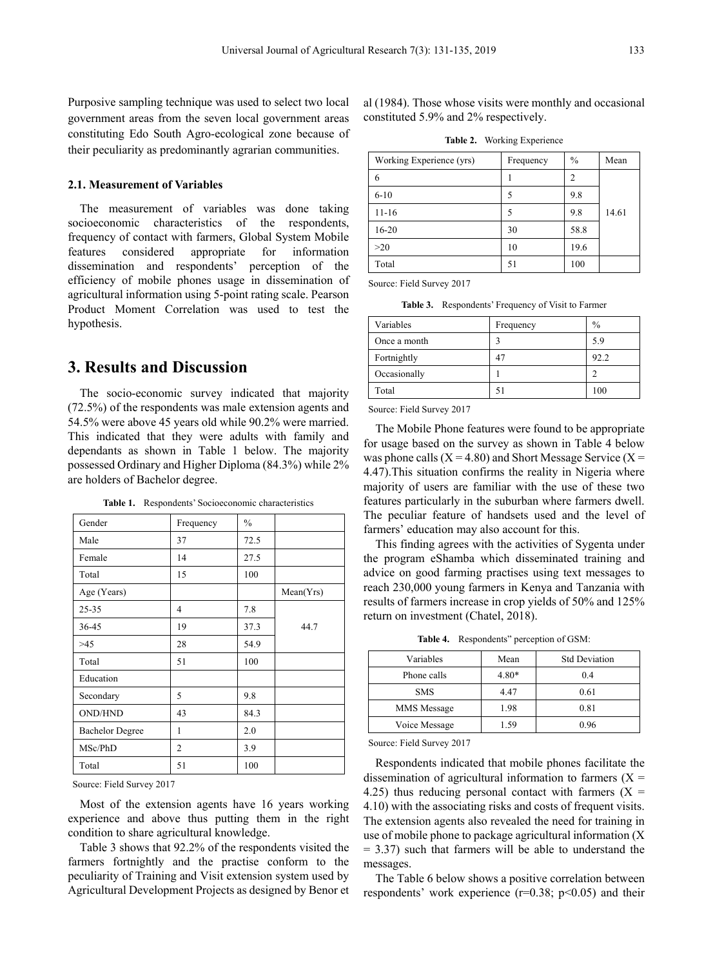Purposive sampling technique was used to select two local government areas from the seven local government areas constituting Edo South Agro-ecological zone because of their peculiarity as predominantly agrarian communities.

#### **2.1. Measurement of Variables**

The measurement of variables was done taking socioeconomic characteristics of the respondents, frequency of contact with farmers, Global System Mobile features considered appropriate for information dissemination and respondents' perception of the efficiency of mobile phones usage in dissemination of agricultural information using 5-point rating scale. Pearson Product Moment Correlation was used to test the hypothesis.

### **3. Results and Discussion**

The socio-economic survey indicated that majority (72.5%) of the respondents was male extension agents and 54.5% were above 45 years old while 90.2% were married. This indicated that they were adults with family and dependants as shown in Table 1 below. The majority possessed Ordinary and Higher Diploma (84.3%) while 2% are holders of Bachelor degree.

**Table 1.** Respondents' Socioeconomic characteristics

| Gender                 | Frequency      | $\frac{0}{0}$ |           |
|------------------------|----------------|---------------|-----------|
| Male                   | 37             | 72.5          |           |
| Female                 | 14             | 27.5          |           |
| Total                  | 15             | 100           |           |
| Age (Years)            |                |               | Mean(Yrs) |
| $25 - 35$              | 4              | 7.8           |           |
| 36-45                  | 19             | 37.3          | 44.7      |
| >45                    | 28             | 54.9          |           |
| Total                  | 51             | 100           |           |
| Education              |                |               |           |
| Secondary              | 5              | 9.8           |           |
| <b>OND/HND</b>         | 43             | 84.3          |           |
| <b>Bachelor Degree</b> | 1              | 2.0           |           |
| MSc/PhD                | $\overline{c}$ | 3.9           |           |
| Total                  | 51             | 100           |           |

Source: Field Survey 2017

Most of the extension agents have 16 years working experience and above thus putting them in the right condition to share agricultural knowledge.

Table 3 shows that 92.2% of the respondents visited the farmers fortnightly and the practise conform to the peculiarity of Training and Visit extension system used by Agricultural Development Projects as designed by Benor et al (1984). Those whose visits were monthly and occasional constituted 5.9% and 2% respectively.

**Table 2.** Working Experience

| Working Experience (yrs) | Frequency | $\frac{0}{0}$ | Mean  |
|--------------------------|-----------|---------------|-------|
| 6                        |           | 2             |       |
| $6 - 10$                 | 5         | 9.8           |       |
| $11 - 16$                | 5         | 9.8           | 14.61 |
| $16 - 20$                | 30        | 58.8          |       |
| >20                      | 10        | 19.6          |       |
| Total                    | 51        | 100           |       |

Source: Field Survey 2017

**Table 3.** Respondents' Frequency of Visit to Farmer

| Variables    | Frequency | $\frac{0}{0}$ |
|--------------|-----------|---------------|
| Once a month |           | 5.9           |
| Fortnightly  | 47        | 92.2          |
| Occasionally |           | っ             |
| Total        | 51        | 100           |

Source: Field Survey 2017

The Mobile Phone features were found to be appropriate for usage based on the survey as shown in Table 4 below was phone calls  $(X = 4.80)$  and Short Message Service  $(X = 4.80)$ 4.47).This situation confirms the reality in Nigeria where majority of users are familiar with the use of these two features particularly in the suburban where farmers dwell. The peculiar feature of handsets used and the level of farmers' education may also account for this.

This finding agrees with the activities of Sygenta under the program eShamba which disseminated training and advice on good farming practises using text messages to reach 230,000 young farmers in Kenya and Tanzania with results of farmers increase in crop yields of 50% and 125% return on investment (Chatel, 2018).

**Table 4.** Respondents" perception of GSM:

| Variables     | Mean    | <b>Std Deviation</b> |
|---------------|---------|----------------------|
| Phone calls   | $4.80*$ | 0.4                  |
| <b>SMS</b>    | 4.47    | 0.61                 |
| MMS Message   | 1.98    | 0.81                 |
| Voice Message | 1.59    | 0.96                 |

Source: Field Survey 2017

Respondents indicated that mobile phones facilitate the dissemination of agricultural information to farmers  $(X =$ 4.25) thus reducing personal contact with farmers  $(X =$ 4.10) with the associating risks and costs of frequent visits. The extension agents also revealed the need for training in use of mobile phone to package agricultural information (X  $= 3.37$ ) such that farmers will be able to understand the messages.

The Table 6 below shows a positive correlation between respondents' work experience  $(r=0.38; p<0.05)$  and their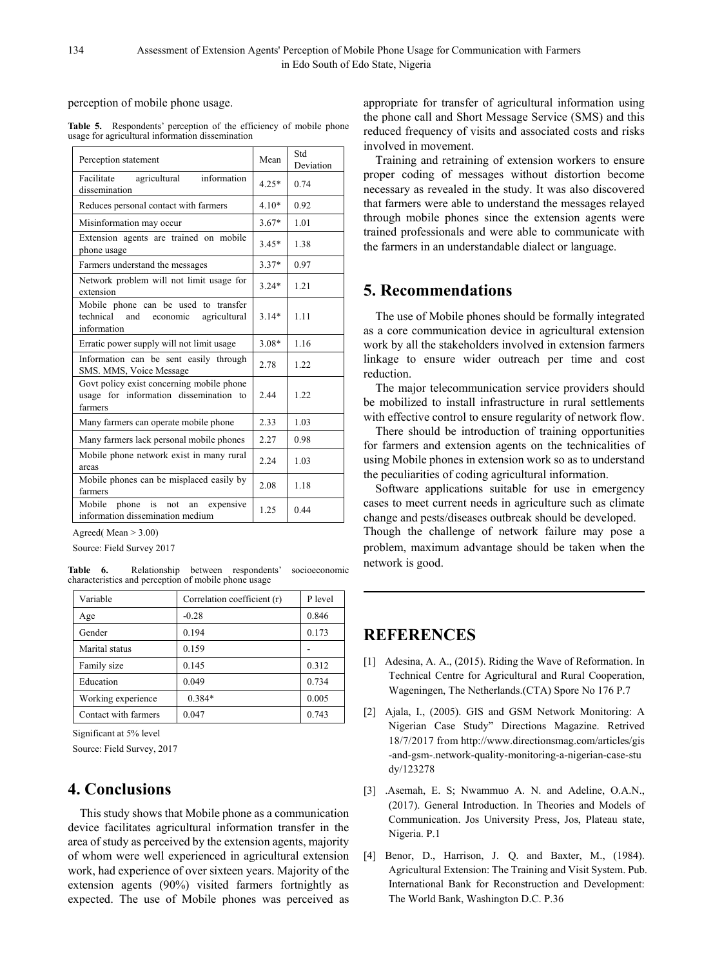perception of mobile phone usage.

Table 5. Respondents' perception of the efficiency of mobile phone usage for agricultural information dissemination

| Perception statement                                                                                | Mean    | Std<br>Deviation |
|-----------------------------------------------------------------------------------------------------|---------|------------------|
| agricultural<br>information<br>Facilitate<br>dissemination                                          | $4.25*$ | 0.74             |
| Reduces personal contact with farmers                                                               | $4.10*$ | 0.92             |
| Misinformation may occur                                                                            | $3.67*$ | 1.01             |
| Extension agents are trained on mobile<br>phone usage                                               | $3.45*$ | 1.38             |
| Farmers understand the messages                                                                     | $3.37*$ | 0.97             |
| Network problem will not limit usage for<br>extension                                               | $3.24*$ | 1.21             |
| Mobile phone can be used to transfer<br>technical<br>and<br>economic<br>agricultural<br>information | $3.14*$ | 1.11             |
| Erratic power supply will not limit usage                                                           | $3.08*$ | 1.16             |
| Information can be sent easily through<br>SMS. MMS, Voice Message                                   | 2.78    | 1.22             |
| Govt policy exist concerning mobile phone<br>usage for information dissemination to<br>farmers      | 2.44    | 1.22             |
| Many farmers can operate mobile phone                                                               | 2.33    | 1.03             |
| Many farmers lack personal mobile phones                                                            | 2.27    | 0.98             |
| Mobile phone network exist in many rural<br>areas                                                   | 2.24    | 1.03             |
| Mobile phones can be misplaced easily by<br>farmers                                                 | 2.08    | 1.18             |
| Mobile<br>phone is not<br>expensive<br>an<br>information dissemination medium                       | 1.25    | 0.44             |

Agreed( Mean > 3.00)

Source: Field Survey 2017

**Table 6.** Relationship between respondents' socioeconomic characteristics and perception of mobile phone usage

| Variable             | Correlation coefficient (r) | P level |
|----------------------|-----------------------------|---------|
| Age                  | $-0.28$                     | 0.846   |
| Gender               | 0.194                       | 0.173   |
| Marital status       | 0.159                       |         |
| Family size          | 0.145                       | 0.312   |
| Education            | 0.049                       | 0.734   |
| Working experience   | $0.384*$                    | 0.005   |
| Contact with farmers | 0.047                       | 0.743   |

Significant at 5% level

Source: Field Survey, 2017

# **4. Conclusions**

This study shows that Mobile phone as a communication device facilitates agricultural information transfer in the area of study as perceived by the extension agents, majority of whom were well experienced in agricultural extension work, had experience of over sixteen years. Majority of the extension agents (90%) visited farmers fortnightly as expected. The use of Mobile phones was perceived as appropriate for transfer of agricultural information using the phone call and Short Message Service (SMS) and this reduced frequency of visits and associated costs and risks involved in movement.

Training and retraining of extension workers to ensure proper coding of messages without distortion become necessary as revealed in the study. It was also discovered that farmers were able to understand the messages relayed through mobile phones since the extension agents were trained professionals and were able to communicate with the farmers in an understandable dialect or language.

# **5. Recommendations**

The use of Mobile phones should be formally integrated as a core communication device in agricultural extension work by all the stakeholders involved in extension farmers linkage to ensure wider outreach per time and cost reduction.

The major telecommunication service providers should be mobilized to install infrastructure in rural settlements with effective control to ensure regularity of network flow.

There should be introduction of training opportunities for farmers and extension agents on the technicalities of using Mobile phones in extension work so as to understand the peculiarities of coding agricultural information.

Software applications suitable for use in emergency cases to meet current needs in agriculture such as climate change and pests/diseases outbreak should be developed.

Though the challenge of network failure may pose a problem, maximum advantage should be taken when the network is good.

# **REFERENCES**

- [1] Adesina, A. A., (2015). Riding the Wave of Reformation. In Technical Centre for Agricultural and Rural Cooperation, Wageningen, The Netherlands.(CTA) Spore No 176 P.7
- [2] Ajala, I., (2005). GIS and GSM Network Monitoring: A Nigerian Case Study" Directions Magazine. Retrived 18/7/2017 fro[m](http://www.directionsmag.com/articles/gis-and-gsm-.network-quality) [http://www.directionsmag.com/articles/gis](http://www.directionsmag.com/articles/gis-and-gsm-.network-quality) [-and-gsm-.network-quality-](http://www.directionsmag.com/articles/gis-and-gsm-.network-quality)monitoring-a-nigerian-case-stu dy/123278
- [3] .Asemah, E. S; Nwammuo A. N. and Adeline, O.A.N., (2017). General Introduction. In Theories and Models of Communication. Jos University Press, Jos, Plateau state, Nigeria. P.1
- [4] Benor, D., Harrison, J. Q. and Baxter, M., (1984). Agricultural Extension: The Training and Visit System. Pub. International Bank for Reconstruction and Development: The World Bank, Washington D.C. P.36